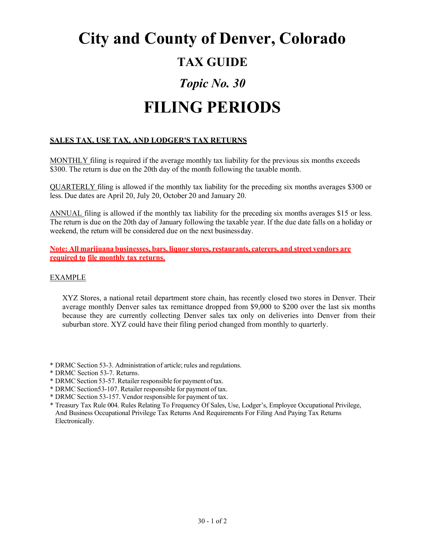## **City and County of Denver, Colorado TAX GUIDE** *Topic No. 30* **FILING PERIODS**

## **SALES TAX, USE TAX, AND LODGER'S TAX RETURNS**

MONTHLY filing is required if the average monthly tax liability for the previous six months exceeds \$300. The return is due on the 20th day of the month following the taxable month.

QUARTERLY filing is allowed if the monthly tax liability for the preceding six months averages \$300 or less. Due dates are April 20, July 20, October 20 and January 20.

ANNUAL filing is allowed if the monthly tax liability for the preceding six months averages \$15 or less. The return is due on the 20th day of January following the taxable year. If the due date falls on a holiday or weekend, the return will be considered due on the next businessday.

**Note: All marijuana businesses, bars, liquor stores, restaurants, caterers, and street vendors are required to file monthly tax returns.**

## EXAMPLE

XYZ Stores, a national retail department store chain, has recently closed two stores in Denver. Their average monthly Denver sales tax remittance dropped from \$9,000 to \$200 over the last six months because they are currently collecting Denver sales tax only on deliveries into Denver from their suburban store. XYZ could have their filing period changed from monthly to quarterly.

\* DRMC Section 53-3. Administration of article; rules and regulations.

- \* DRMC Section 53-7. Returns.
- \* DRMCSection 53-57.Retailer responsible for payment oftax.
- \* DRMC Section53-107. Retailer responsible for payment of tax.
- \* DRMC Section 53-157. Vendor responsible for payment of tax.

\* Treasury Tax Rule 004. Rules Relating To Frequency Of Sales, Use, Lodger's, Employee Occupational Privilege, And Business Occupational Privilege Tax Returns And Requirements For Filing And Paying Tax Returns Electronically.